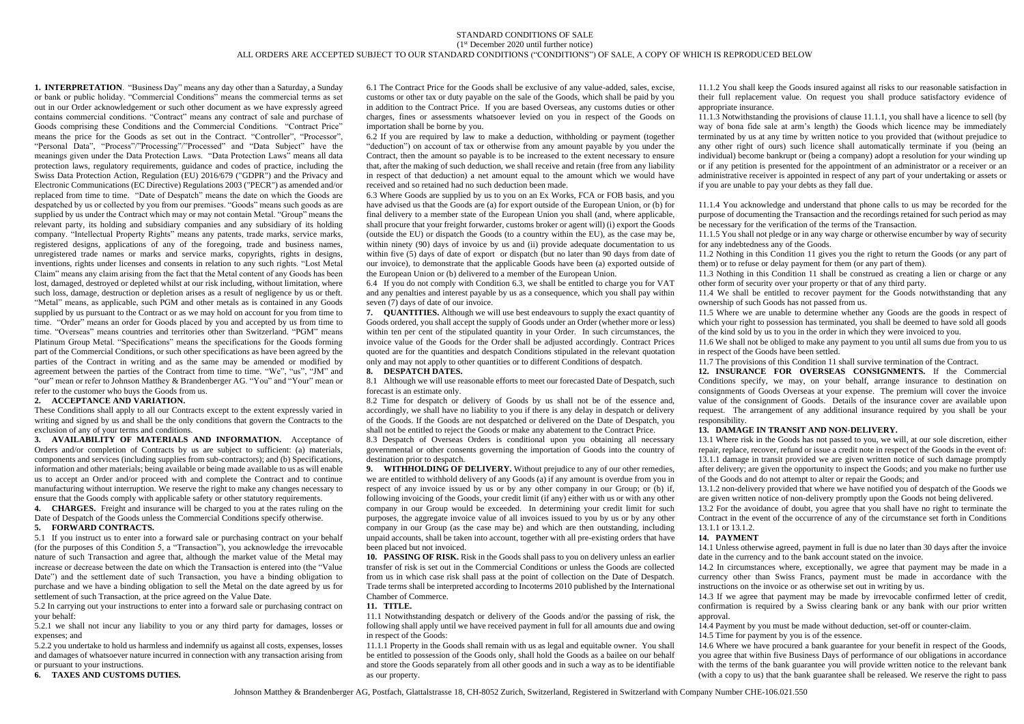# STANDARD CONDITIONS OF SALE (1 st December 2020 until further notice) ALL ORDERS ARE ACCEPTED SUBJECT TO OUR STANDARD CONDITIONS ("CONDITIONS") OF SALE, A COPY OF WHICH IS REPRODUCED BELOW

**1. INTERPRETATION**. "Business Day" means any day other than a Saturday, a Sunday or bank or public holiday. "Commercial Conditions" means the commercial terms as set out in our Order acknowledgement or such other document as we have expressly agreed contains commercial conditions. "Contract" means any contract of sale and purchase of Goods comprising these Conditions and the Commercial Conditions. "Contract Price" means the price for the Goods as set out in the Contract. "Controller", "Processor", "Personal Data", "Process"/"Processing"/"Processed" and "Data Subject" have the meanings given under the Data Protection Laws. "Data Protection Laws" means all data protection laws, regulatory requirements, guidance and codes of practice, including the Swiss Data Protection Action, Regulation (EU) 2016/679 ("GDPR") and the Privacy and Electronic Communications (EC Directive) Regulations 2003 ("PECR") as amended and/or replaced from time to time. "Date of Despatch" means the date on which the Goods are despatched by us or collected by you from our premises. "Goods" means such goods as are supplied by us under the Contract which may or may not contain Metal. "Group" means the relevant party, its holding and subsidiary companies and any subsidiary of its holding company. "Intellectual Property Rights" means any patents, trade marks, service marks, registered designs, applications of any of the foregoing, trade and business names, unregistered trade names or marks and service marks, copyrights, rights in designs, inventions, rights under licenses and consents in relation to any such rights. "Lost Metal Claim" means any claim arising from the fact that the Metal content of any Goods has been lost, damaged, destroyed or depleted whilst at our risk including, without limitation, where such loss, damage, destruction or depletion arises as a result of negligence by us or theft. "Metal" means, as applicable, such PGM and other metals as is contained in any Goods supplied by us pursuant to the Contract or as we may hold on account for you from time to time. "Order" means an order for Goods placed by you and accepted by us from time to time. "Overseas" means countries and territories other than Switzerland. "PGM" means Platinum Group Metal. "Specifications" means the specifications for the Goods forming part of the Commercial Conditions, or such other specifications as have been agreed by the parties of the Contract in writing and as the same may be amended or modified by agreement between the parties of the Contract from time to time. "We", "us", "JM" and "our" mean or refer to Johnson Matthey & Brandenberger AG. "You" and "Your" mean or refer to the customer who buys the Goods from us.

### **2. ACCEPTANCE AND VARIATION.**

These Conditions shall apply to all our Contracts except to the extent expressly varied in writing and signed by us and shall be the only conditions that govern the Contracts to the exclusion of any of your terms and conditions.

**3. AVAILABILITY OF MATERIALS AND INFORMATION.** Acceptance of Orders and/or completion of Contracts by us are subject to sufficient: (a) materials, components and services (including supplies from sub-contractors); and (b) Specifications, information and other materials; being available or being made available to us as will enable us to accept an Order and/or proceed with and complete the Contract and to continue manufacturing without interruption. We reserve the right to make any changes necessary to ensure that the Goods comply with applicable safety or other statutory requirements.

**4. CHARGES.** Freight and insurance will be charged to you at the rates ruling on the Date of Despatch of the Goods unless the Commercial Conditions specify otherwise. **5. FORWARD CONTRACTS.**

5.1 If you instruct us to enter into a forward sale or purchasing contract on your behalf (for the purposes of this Condition 5, a "Transaction"), you acknowledge the irrevocable nature of such Transaction and agree that, although the market value of the Metal may increase or decrease between the date on which the Transaction is entered into (the "Value Date") and the settlement date of such Transaction, you have a binding obligation to purchase and we have a binding obligation to sell the Metal on the date agreed by us for settlement of such Transaction, at the price agreed on the Value Date.

5.2 In carrying out your instructions to enter into a forward sale or purchasing contract on your behalf:

5.2.1 we shall not incur any liability to you or any third party for damages, losses or expenses; and

5.2.2 you undertake to hold us harmless and indemnify us against all costs, expenses, losses and damages of whatsoever nature incurred in connection with any transaction arising from or pursuant to your instructions.

**6. TAXES AND CUSTOMS DUTIES.**

6.1 The Contract Price for the Goods shall be exclusive of any value-added, sales, excise, customs or other tax or duty payable on the sale of the Goods, which shall be paid by you in addition to the Contract Price. If you are based Overseas, any customs duties or other charges, fines or assessments whatsoever levied on you in respect of the Goods on importation shall be borne by you.

6.2 If you are required by law to make a deduction, withholding or payment (together "deduction") on account of tax or otherwise from any amount payable by you under the Contract, then the amount so payable is to be increased to the extent necessary to ensure that, after the making of such deduction, we shall receive and retain (free from any liability in respect of that deduction) a net amount equal to the amount which we would have received and so retained had no such deduction been made.

6.3 Where Goods are supplied by us to you on an Ex Works, FCA or FOB basis, and you have advised us that the Goods are (a) for export outside of the European Union, or (b) for final delivery to a member state of the European Union you shall (and, where applicable, shall procure that your freight forwarder, customs broker or agent will) (i) export the Goods (outside the EU) or dispatch the Goods (to a country within the EU), as the case may be, within ninety (90) days of invoice by us and (ii) provide adequate documentation to us within five (5) days of date of export or dispatch (but no later than 90 days from date of our invoice), to demonstrate that the applicable Goods have been (a) exported outside of the European Union or (b) delivered to a member of the European Union.

6.4 If you do not comply with Condition 6.3, we shall be entitled to charge you for VAT and any penalties and interest payable by us as a consequence, which you shall pay within seven (7) days of date of our invoice.

**7. QUANTITIES.** Although we will use best endeavours to supply the exact quantity of Goods ordered, you shall accept the supply of Goods under an Order (whether more or less) within ten per cent of the stipulated quantity in your Order. In such circumstances, the invoice value of the Goods for the Order shall be adjusted accordingly. Contract Prices quoted are for the quantities and despatch Conditions stipulated in the relevant quotation only and may not apply to other quantities or to different Conditions of despatch.

#### **8. DESPATCH DATES.**

8.1 Although we will use reasonable efforts to meet our forecasted Date of Despatch, such forecast is an estimate only.

8.2 Time for despatch or delivery of Goods by us shall not be of the essence and, accordingly, we shall have no liability to you if there is any delay in despatch or delivery of the Goods. If the Goods are not despatched or delivered on the Date of Despatch, you shall not be entitled to reject the Goods or make any abatement to the Contract Price.

8.3 Despatch of Overseas Orders is conditional upon you obtaining all necessary governmental or other consents governing the importation of Goods into the country of destination prior to despatch.

**9. WITHHOLDING OF DELIVERY.** Without prejudice to any of our other remedies, we are entitled to withhold delivery of any Goods (a) if any amount is overdue from you in respect of any invoice issued by us or by any other company in our Group; or (b) if, following invoicing of the Goods, your credit limit (if any) either with us or with any other company in our Group would be exceeded. In determining your credit limit for such purposes, the aggregate invoice value of all invoices issued to you by us or by any other company in our Group (as the case may be) and which are then outstanding, including unpaid accounts, shall be taken into account, together with all pre-existing orders that have been placed but not invoiced.

**10. PASSING OF RISK.** Risk in the Goods shall pass to you on delivery unless an earlier transfer of risk is set out in the Commercial Conditions or unless the Goods are collected from us in which case risk shall pass at the point of collection on the Date of Despatch. Trade terms shall be interpreted according to Incoterms 2010 published by the International Chamber of Commerce.

## **11. TITLE.**

11.1 Notwithstanding despatch or delivery of the Goods and/or the passing of risk, the following shall apply until we have received payment in full for all amounts due and owing in respect of the Goods:

11.1.1 Property in the Goods shall remain with us as legal and equitable owner. You shall be entitled to possession of the Goods only, shall hold the Goods as a bailee on our behalf and store the Goods separately from all other goods and in such a way as to be identifiable as our property.

11.1.2 You shall keep the Goods insured against all risks to our reasonable satisfaction in their full replacement value. On request you shall produce satisfactory evidence of appropriate insurance.

11.1.3 Notwithstanding the provisions of clause 11.1.1, you shall have a licence to sell (by way of bona fide sale at arm's length) the Goods which licence may be immediately terminated by us at any time by written notice to you provided that (without prejudice to any other right of ours) such licence shall automatically terminate if you (being an individual) become bankrupt or (being a company) adopt a resolution for your winding up or if any petition is presented for the appointment of an administrator or a receiver or an administrative receiver is appointed in respect of any part of your undertaking or assets or if you are unable to pay your debts as they fall due.

11.1.4 You acknowledge and understand that phone calls to us may be recorded for the purpose of documenting the Transaction and the recordings retained for such period as may be necessary for the verification of the terms of the Transaction.

11.1.5 You shall not pledge or in any way charge or otherwise encumber by way of security for any indebtedness any of the Goods.

11.2 Nothing in this Condition 11 gives you the right to return the Goods (or any part of them) or to refuse or delay payment for them (or any part of them).

11.3 Nothing in this Condition 11 shall be construed as creating a lien or charge or any other form of security over your property or that of any third party.

11.4 We shall be entitled to recover payment for the Goods notwithstanding that any ownership of such Goods has not passed from us.

11.5 Where we are unable to determine whether any Goods are the goods in respect of which your right to possession has terminated, you shall be deemed to have sold all goods of the kind sold by us to you in the order in which they were invoiced to you.

11.6 We shall not be obliged to make any payment to you until all sums due from you to us in respect of the Goods have been settled.

11.7 The provisions of this Condition 11 shall survive termination of the Contract.

**12. INSURANCE FOR OVERSEAS CONSIGNMENTS.** If the Commercial Conditions specify, we may, on your behalf, arrange insurance to destination on consignments of Goods Overseas at your expense. The premium will cover the invoice value of the consignment of Goods. Details of the insurance cover are available upon request. The arrangement of any additional insurance required by you shall be your responsibility.

### **13. DAMAGE IN TRANSIT AND NON-DELIVERY.**

13.1 Where risk in the Goods has not passed to you, we will, at our sole discretion, either repair, replace, recover, refund or issue a credit note in respect of the Goods in the event of: 13.1.1 damage in transit provided we are given written notice of such damage promptly after delivery; are given the opportunity to inspect the Goods; and you make no further use of the Goods and do not attempt to alter or repair the Goods; and

13.1.2 non-delivery provided that where we have notified you of despatch of the Goods we are given written notice of non-delivery promptly upon the Goods not being delivered.

13.2 For the avoidance of doubt, you agree that you shall have no right to terminate the Contract in the event of the occurrence of any of the circumstance set forth in Conditions 13.1.1 or 13.1.2

#### **14. PAYMENT**

14.1 Unless otherwise agreed, payment in full is due no later than 30 days after the invoice date in the currency and to the bank account stated on the invoice.

14.2 In circumstances where, exceptionally, we agree that payment may be made in a currency other than Swiss Francs, payment must be made in accordance with the instructions on the invoice or as otherwise set out in writing by us.

14.3 If we agree that payment may be made by irrevocable confirmed letter of credit, confirmation is required by a Swiss clearing bank or any bank with our prior written approval.

14.4 Payment by you must be made without deduction, set-off or counter-claim.

14.5 Time for payment by you is of the essence.

14.6 Where we have procured a bank guarantee for your benefit in respect of the Goods, you agree that within five Business Days of performance of our obligations in accordance with the terms of the bank guarantee you will provide written notice to the relevant bank (with a copy to us) that the bank guarantee shall be released. We reserve the right to pass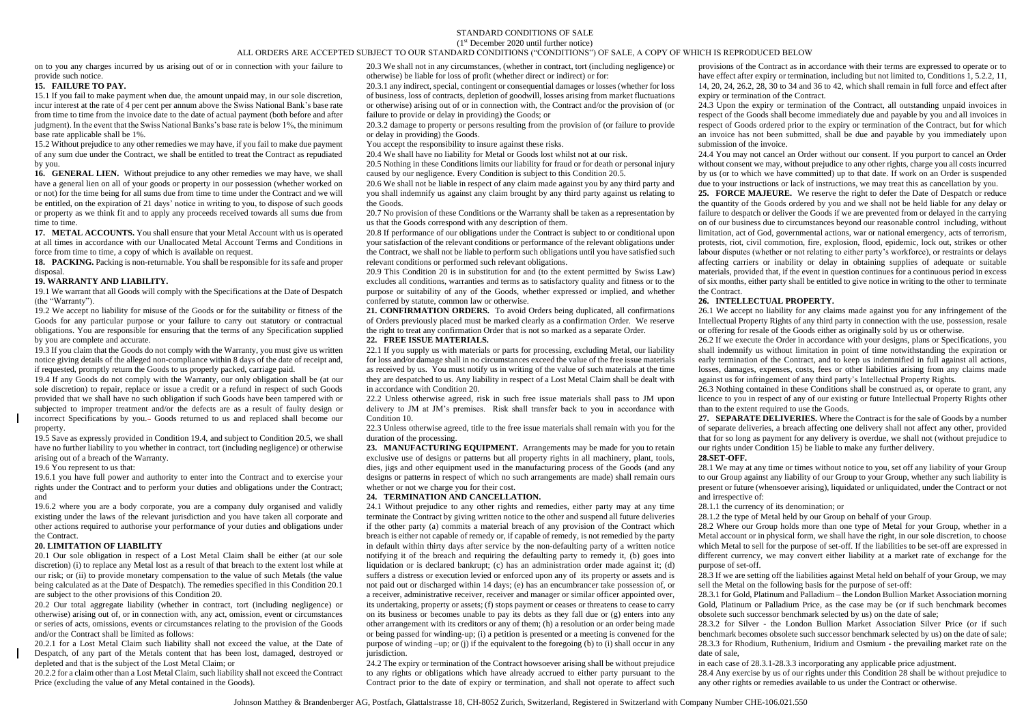## STANDARD CONDITIONS OF SALE (1 st December 2020 until further notice)

### ALL ORDERS ARE ACCEPTED SUBJECT TO OUR STANDARD CONDITIONS ("CONDITIONS") OF SALE, A COPY OF WHICH IS REPRODUCED BELOW

on to you any charges incurred by us arising out of or in connection with your failure to provide such notice.

# **15. FAILURE TO PAY.**

15.1 If you fail to make payment when due, the amount unpaid may, in our sole discretion, incur interest at the rate of 4 per cent per annum above the Swiss National Bank's base rate from time to time from the invoice date to the date of actual payment (both before and after judgment). In the event that the Swiss National Banks's base rate is below 1%, the minimum base rate applicable shall be 1%.

15.2 Without prejudice to any other remedies we may have, if you fail to make due payment of any sum due under the Contract, we shall be entitled to treat the Contract as repudiated by you.

**16. GENERAL LIEN.** Without prejudice to any other remedies we may have, we shall have a general lien on all of your goods or property in our possession (whether worked on or not) for the time being for all sums due from time to time under the Contract and we will be entitled, on the expiration of 21 days' notice in writing to you, to dispose of such goods or property as we think fit and to apply any proceeds received towards all sums due from time to time.

**17. METAL ACCOUNTS.** You shall ensure that your Metal Account with us is operated at all times in accordance with our Unallocated Metal Account Terms and Conditions in force from time to time, a copy of which is available on request.

**18. PACKING.** Packing is non-returnable. You shall be responsible for its safe and proper disposal.

#### **19. WARRANTY AND LIABILITY.**

19.1 We warrant that all Goods will comply with the Specifications at the Date of Despatch (the "Warranty").

19.2 We accept no liability for misuse of the Goods or for the suitability or fitness of the Goods for any particular purpose or your failure to carry out statutory or contractual obligations. You are responsible for ensuring that the terms of any Specification supplied by you are complete and accurate.

19.3 If you claim that the Goods do not comply with the Warranty, you must give us written notice giving details of the alleged non-compliance within 8 days of the date of receipt and, if requested, promptly return the Goods to us properly packed, carriage paid.

19.4 If any Goods do not comply with the Warranty, our only obligation shall be (at our sole discretion) to repair, replace or issue a credit or a refund in respect of such Goods provided that we shall have no such obligation if such Goods have been tampered with or subjected to improper treatment and/or the defects are as a result of faulty design or incorrect Specifications by you. Goods returned to us and replaced shall become our property.

19.5 Save as expressly provided in Condition 19.4, and subject to Condition 20.5, we shall have no further liability to you whether in contract, tort (including negligence) or otherwise arising out of a breach of the Warranty.

19.6 You represent to us that:

19.6.1 you have full power and authority to enter into the Contract and to exercise your rights under the Contract and to perform your duties and obligations under the Contract; and

19.6.2 where you are a body corporate, you are a company duly organised and validly existing under the laws of the relevant jurisdiction and you have taken all corporate and other actions required to authorise your performance of your duties and obligations under the Contract.

### **20. LIMITATION OF LIABILITY**

20.1 Our sole obligation in respect of a Lost Metal Claim shall be either (at our sole discretion) (i) to replace any Metal lost as a result of that breach to the extent lost while at our risk; or (ii) to provide monetary compensation to the value of such Metals (the value being calculated as at the Date of Despatch). The remedies specified in this Condition 20.1 are subject to the other provisions of this Condition 20.

20.2 Our total aggregate liability (whether in contract, tort (including negligence) or otherwise) arising out of, or in connection with, any act, omission, event or circumstances or series of acts, omissions, events or circumstances relating to the provision of the Goods and/or the Contract shall be limited as follows:

20.2.1 for a Lost Metal Claim such liability shall not exceed the value, at the Date of Despatch, of any part of the Metals content that has been lost, damaged, destroyed or depleted and that is the subject of the Lost Metal Claim; or

20.2.2 for a claim other than a Lost Metal Claim, such liability shall not exceed the Contract Price (excluding the value of any Metal contained in the Goods).

20.3 We shall not in any circumstances, (whether in contract, tort (including negligence) or otherwise) be liable for loss of profit (whether direct or indirect) or for:

20.3.1 any indirect, special, contingent or consequential damages or losses (whether for loss of business, loss of contracts, depletion of goodwill, losses arising from market fluctuations or otherwise) arising out of or in connection with, the Contract and/or the provision of (or failure to provide or delay in providing) the Goods; or

20.3.2 damage to property or persons resulting from the provision of (or failure to provide or delay in providing) the Goods.

You accept the responsibility to insure against these risks.

20.4 We shall have no liability for Metal or Goods lost whilst not at our risk.

20.5 Nothing in these Conditions limits our liability for fraud or for death or personal injury caused by our negligence. Every Condition is subject to this Condition 20.5.

20.6 We shall not be liable in respect of any claim made against you by any third party and you shall indemnify us against any claim brought by any third party against us relating to the Goods.

20.7 No provision of these Conditions or the Warranty shall be taken as a representation by us that the Goods correspond with any description of them.

20.8 If performance of our obligations under the Contract is subject to or conditional upon your satisfaction of the relevant conditions or performance of the relevant obligations under the Contract, we shall not be liable to perform such obligations until you have satisfied such relevant conditions or performed such relevant obligations.

20.9 This Condition 20 is in substitution for and (to the extent permitted by Swiss Law) excludes all conditions, warranties and terms as to satisfactory quality and fitness or to the purpose or suitability of any of the Goods, whether expressed or implied, and whether conferred by statute, common law or otherwise.

**21. CONFIRMATION ORDERS.** To avoid Orders being duplicated, all confirmations of Orders previously placed must be marked clearly as a confirmation Order. We reserve the right to treat any confirmation Order that is not so marked as a separate Order.

# **22. FREE ISSUE MATERIALS.**

22.1 If you supply us with materials or parts for processing, excluding Metal, our liability for loss and/or damage shall in no circumstances exceed the value of the free issue materials as received by us. You must notify us in writing of the value of such materials at the time they are despatched to us. Any liability in respect of a Lost Metal Claim shall be dealt with in accordance with Condition 20.

22.2 Unless otherwise agreed, risk in such free issue materials shall pass to JM upon delivery to JM at JM's premises. Risk shall transfer back to you in accordance with Condition 10.

22.3 Unless otherwise agreed, title to the free issue materials shall remain with you for the duration of the processing.

**23. MANUFACTURING EQUIPMENT.** Arrangements may be made for you to retain exclusive use of designs or patterns but all property rights in all machinery, plant, tools, dies, jigs and other equipment used in the manufacturing process of the Goods (and any designs or patterns in respect of which no such arrangements are made) shall remain ours whether or not we charge you for their cost.

## **24. TERMINATION AND CANCELLATION.**

24.1 Without prejudice to any other rights and remedies, either party may at any time terminate the Contract by giving written notice to the other and suspend all future deliveries if the other party (a) commits a material breach of any provision of the Contract which breach is either not capable of remedy or, if capable of remedy, is not remedied by the party in default within thirty days after service by the non-defaulting party of a written notice notifying it of the breach and requiring the defaulting party to remedy it, (b) goes into liquidation or is declared bankrupt; (c) has an administration order made against it; (d) suffers a distress or execution levied or enforced upon any of its property or assets and is not paid out or discharged within 14 days; (e) has an encumbrancer take possession of, or a receiver, administrative receiver, receiver and manager or similar officer appointed over, its undertaking, property or assets; (f) stops payment or ceases or threatens to cease to carry on its business or becomes unable to pay its debts as they fall due or (g) enters into any other arrangement with its creditors or any of them; (h) a resolution or an order being made or being passed for winding-up; (i) a petition is presented or a meeting is convened for the purpose of winding –up; or (j) if the equivalent to the foregoing (b) to (i) shall occur in any jurisdiction.

24.2 The expiry or termination of the Contract howsoever arising shall be without prejudice to any rights or obligations which have already accrued to either party pursuant to the Contract prior to the date of expiry or termination, and shall not operate to affect such

provisions of the Contract as in accordance with their terms are expressed to operate or to have effect after expiry or termination, including but not limited to, Conditions 1, 5.2.2, 11, 14, 20, 24, 26.2, 28, 30 to 34 and 36 to 42, which shall remain in full force and effect after expiry or termination of the Contract.

24.3 Upon the expiry or termination of the Contract, all outstanding unpaid invoices in respect of the Goods shall become immediately due and payable by you and all invoices in respect of Goods ordered prior to the expiry or termination of the Contract, but for which an invoice has not been submitted, shall be due and payable by you immediately upon submission of the invoice.

24.4 You may not cancel an Order without our consent. If you purport to cancel an Order without consent we may, without prejudice to any other rights, charge you all costs incurred by us (or to which we have committed) up to that date. If work on an Order is suspended due to your instructions or lack of instructions, we may treat this as cancellation by you.

**25. FORCE MAJEURE.** We reserve the right to defer the Date of Despatch or reduce the quantity of the Goods ordered by you and we shall not be held liable for any delay or failure to despatch or deliver the Goods if we are prevented from or delayed in the carrying on of our business due to circumstances beyond our reasonable control including, without limitation, act of God, governmental actions, war or national emergency, acts of terrorism, protests, riot, civil commotion, fire, explosion, flood, epidemic, lock out, strikes or other labour disputes (whether or not relating to either party's workforce), or restraints or delays affecting carriers or inability or delay in obtaining supplies of adequate or suitable materials, provided that, if the event in question continues for a continuous period in excess of six months, either party shall be entitled to give notice in writing to the other to terminate the Contract.

### **26. INTELLECTUAL PROPERTY.**

26.1 We accept no liability for any claims made against you for any infringement of the Intellectual Property Rights of any third party in connection with the use, possession, resale or offering for resale of the Goods either as originally sold by us or otherwise.

26.2 If we execute the Order in accordance with your designs, plans or Specifications, you shall indemnify us without limitation in point of time notwithstanding the expiration or early termination of the Contract, and to keep us indemnified in full against all actions, losses, damages, expenses, costs, fees or other liabilities arising from any claims made against us for infringement of any third party's Intellectual Property Rights.

26.3 Nothing contained in these Conditions shall be construed as, or operate to grant, any licence to you in respect of any of our existing or future Intellectual Property Rights other than to the extent required to use the Goods.

**27. SEPARATE DELIVERIES.** Where the Contract is for the sale of Goods by a number of separate deliveries, a breach affecting one delivery shall not affect any other, provided that for so long as payment for any delivery is overdue, we shall not (without prejudice to our rights under Condition 15) be liable to make any further delivery.

# **28.SET-OFF.**

28.1 We may at any time or times without notice to you, set off any liability of your Group to our Group against any liability of our Group to your Group, whether any such liability is present or future (whensoever arising), liquidated or unliquidated, under the Contract or not and irrespective of:

28.1.1 the currency of its denomination; or

28.1.2 the type of Metal held by our Group on behalf of your Group.

28.2 Where our Group holds more than one type of Metal for your Group, whether in a Metal account or in physical form, we shall have the right, in our sole discretion, to choose which Metal to sell for the purpose of set-off. If the liabilities to be set-off are expressed in different currency, we may convert either liability at a market rate of exchange for the purpose of set-off.

28.3 If we are setting off the liabilities against Metal held on behalf of your Group, we may sell the Metal on the following basis for the purpose of set-off:

28.3.1 for Gold, Platinum and Palladium – the London Bullion Market Association morning Gold, Platinum or Palladium Price, as the case may be (or if such benchmark becomes obsolete such successor benchmark selected by us) on the date of sale;

28.3.2 for Silver - the London Bullion Market Association Silver Price (or if such benchmark becomes obsolete such successor benchmark selected by us) on the date of sale; 28.3.3 for Rhodium, Ruthenium, Iridium and Osmium - the prevailing market rate on the date of sale,

in each case of 28.3.1-28.3.3 incorporating any applicable price adjustment.

28.4 Any exercise by us of our rights under this Condition 28 shall be without prejudice to any other rights or remedies available to us under the Contract or otherwise.